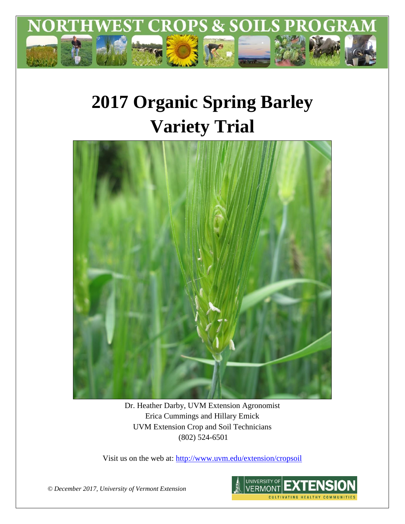

# **2017 Organic Spring Barley Variety Trial**



Dr. Heather Darby, UVM Extension Agronomist Erica Cummings and Hillary Emick UVM Extension Crop and Soil Technicians (802) 524-6501

Visit us on the web at:<http://www.uvm.edu/extension/cropsoil>



*© December 2017, University of Vermont Extension*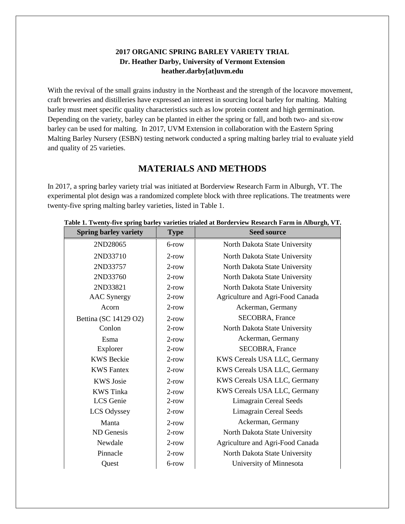#### **2017 ORGANIC SPRING BARLEY VARIETY TRIAL Dr. Heather Darby, University of Vermont Extension heather.darby[at]uvm.edu**

With the revival of the small grains industry in the Northeast and the strength of the locavore movement, craft breweries and distilleries have expressed an interest in sourcing local barley for malting. Malting barley must meet specific quality characteristics such as low protein content and high germination. Depending on the variety, barley can be planted in either the spring or fall, and both two- and six-row barley can be used for malting. In 2017, UVM Extension in collaboration with the Eastern Spring Malting Barley Nursery (ESBN) testing network conducted a spring malting barley trial to evaluate yield and quality of 25 varieties.

# **MATERIALS AND METHODS**

In 2017, a spring barley variety trial was initiated at Borderview Research Farm in Alburgh, VT. The experimental plot design was a randomized complete block with three replications. The treatments were twenty-five spring malting barley varieties, listed in Table 1.

| <b>Spring barley variety</b> | <b>Type</b> | <b>Seed source</b>               |  |  |  |
|------------------------------|-------------|----------------------------------|--|--|--|
| 2ND28065                     | 6-row       | North Dakota State University    |  |  |  |
| 2ND33710                     | $2$ -row    | North Dakota State University    |  |  |  |
| 2ND33757                     | $2$ -row    | North Dakota State University    |  |  |  |
| 2ND33760                     | $2$ -row    | North Dakota State University    |  |  |  |
| 2ND33821                     | $2$ -row    | North Dakota State University    |  |  |  |
| <b>AAC</b> Synergy           | $2$ -row    | Agriculture and Agri-Food Canada |  |  |  |
| Acorn                        | $2$ -row    | Ackerman, Germany                |  |  |  |
| Bettina (SC 14129 O2)        | $2$ -row    | <b>SECOBRA, France</b>           |  |  |  |
| Conlon                       | $2$ -row    | North Dakota State University    |  |  |  |
| Esma                         | $2$ -row    | Ackerman, Germany                |  |  |  |
| Explorer                     | $2$ -row    | SECOBRA, France                  |  |  |  |
| <b>KWS</b> Beckie            | $2$ -row    | KWS Cereals USA LLC, Germany     |  |  |  |
| <b>KWS Fantex</b>            | $2$ -row    | KWS Cereals USA LLC, Germany     |  |  |  |
| <b>KWS</b> Josie             | $2$ -row    | KWS Cereals USA LLC, Germany     |  |  |  |
| <b>KWS</b> Tinka             | $2$ -row    | KWS Cereals USA LLC, Germany     |  |  |  |
| <b>LCS</b> Genie             | $2$ -row    | <b>Limagrain Cereal Seeds</b>    |  |  |  |
| LCS Odyssey                  | $2$ -row    | <b>Limagrain Cereal Seeds</b>    |  |  |  |
| Manta                        | $2$ -row    | Ackerman, Germany                |  |  |  |
| ND Genesis                   | $2$ -row    | North Dakota State University    |  |  |  |
| Newdale                      | $2$ -row    | Agriculture and Agri-Food Canada |  |  |  |
| Pinnacle                     | $2$ -row    | North Dakota State University    |  |  |  |
| Quest                        | 6-row       | University of Minnesota          |  |  |  |

#### **Table 1. Twenty-five spring barley varieties trialed at Borderview Research Farm in Alburgh, VT.**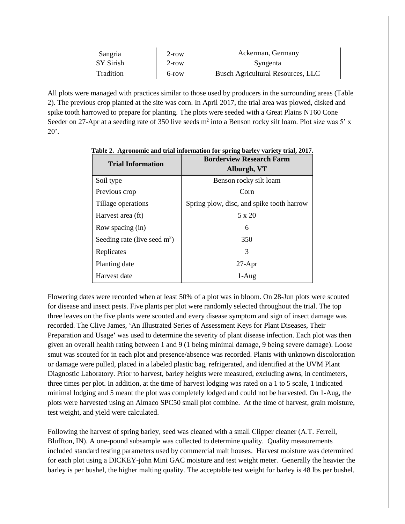| Sangria   | $2$ -row | Ackerman, Germany                        |  |  |
|-----------|----------|------------------------------------------|--|--|
| SY Sirish | $2$ -row | Syngenta                                 |  |  |
| Tradition | 6-row    | <b>Busch Agricultural Resources, LLC</b> |  |  |

All plots were managed with practices similar to those used by producers in the surrounding areas (Table 2). The previous crop planted at the site was corn. In April 2017, the trial area was plowed, disked and spike tooth harrowed to prepare for planting. The plots were seeded with a Great Plains NT60 Cone Seeder on 27-Apr at a seeding rate of 350 live seeds  $m^2$  into a Benson rocky silt loam. Plot size was 5' x  $20$ .

| <b>Trial Information</b>       | <b>Borderview Research Farm</b><br>Alburgh, VT |  |  |  |
|--------------------------------|------------------------------------------------|--|--|--|
| Soil type                      | Benson rocky silt loam                         |  |  |  |
| Previous crop                  | Corn                                           |  |  |  |
| Tillage operations             | Spring plow, disc, and spike tooth harrow      |  |  |  |
| Harvest area (ft)              | $5 \times 20$                                  |  |  |  |
| Row spacing (in)               | 6                                              |  |  |  |
| Seeding rate (live seed $m2$ ) | 350                                            |  |  |  |
| Replicates                     | 3                                              |  |  |  |
| Planting date                  | $27$ -Apr                                      |  |  |  |
| Harvest date                   | 1-Aug                                          |  |  |  |

**Table 2. Agronomic and trial information for spring barley variety trial, 2017.**

Flowering dates were recorded when at least 50% of a plot was in bloom. On 28-Jun plots were scouted for disease and insect pests. Five plants per plot were randomly selected throughout the trial. The top three leaves on the five plants were scouted and every disease symptom and sign of insect damage was recorded. The Clive James, 'An Illustrated Series of Assessment Keys for Plant Diseases, Their Preparation and Usage**'** was used to determine the severity of plant disease infection. Each plot was then given an overall health rating between 1 and 9 (1 being minimal damage, 9 being severe damage). Loose smut was scouted for in each plot and presence/absence was recorded. Plants with unknown discoloration or damage were pulled, placed in a labeled plastic bag, refrigerated, and identified at the UVM Plant Diagnostic Laboratory. Prior to harvest, barley heights were measured, excluding awns, in centimeters, three times per plot. In addition, at the time of harvest lodging was rated on a 1 to 5 scale, 1 indicated minimal lodging and 5 meant the plot was completely lodged and could not be harvested. On 1-Aug, the plots were harvested using an Almaco SPC50 small plot combine. At the time of harvest, grain moisture, test weight, and yield were calculated.

Following the harvest of spring barley, seed was cleaned with a small Clipper cleaner (A.T. Ferrell, Bluffton, IN). A one-pound subsample was collected to determine quality. Quality measurements included standard testing parameters used by commercial malt houses. Harvest moisture was determined for each plot using a DICKEY-john Mini GAC moisture and test weight meter. Generally the heavier the barley is per bushel, the higher malting quality. The acceptable test weight for barley is 48 lbs per bushel.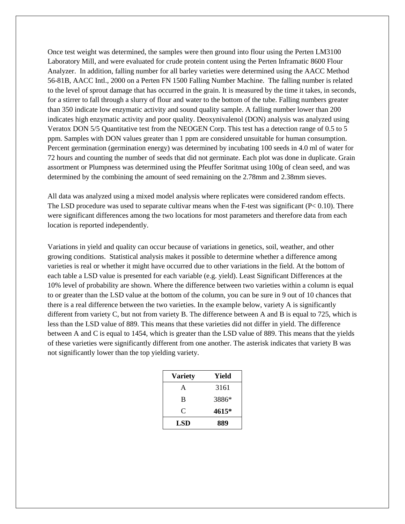Once test weight was determined, the samples were then ground into flour using the Perten LM3100 Laboratory Mill, and were evaluated for crude protein content using the Perten Inframatic 8600 Flour Analyzer. In addition, falling number for all barley varieties were determined using the AACC Method 56-81B, AACC Intl., 2000 on a Perten FN 1500 Falling Number Machine. The falling number is related to the level of sprout damage that has occurred in the grain. It is measured by the time it takes, in seconds, for a stirrer to fall through a slurry of flour and water to the bottom of the tube. Falling numbers greater than 350 indicate low enzymatic activity and sound quality sample. A falling number lower than 200 indicates high enzymatic activity and poor quality. Deoxynivalenol (DON) analysis was analyzed using Veratox DON 5/5 Quantitative test from the NEOGEN Corp. This test has a detection range of 0.5 to 5 ppm. Samples with DON values greater than 1 ppm are considered unsuitable for human consumption. Percent germination (germination energy) was determined by incubating 100 seeds in 4.0 ml of water for 72 hours and counting the number of seeds that did not germinate. Each plot was done in duplicate. Grain assortment or Plumpness was determined using the Pfeuffer Soritmat using 100g of clean seed, and was determined by the combining the amount of seed remaining on the 2.78mm and 2.38mm sieves.

All data was analyzed using a mixed model analysis where replicates were considered random effects. The LSD procedure was used to separate cultivar means when the F-test was significant ( $P < 0.10$ ). There were significant differences among the two locations for most parameters and therefore data from each location is reported independently.

Variations in yield and quality can occur because of variations in genetics, soil, weather, and other growing conditions. Statistical analysis makes it possible to determine whether a difference among varieties is real or whether it might have occurred due to other variations in the field. At the bottom of each table a LSD value is presented for each variable (e.g. yield). Least Significant Differences at the 10% level of probability are shown. Where the difference between two varieties within a column is equal to or greater than the LSD value at the bottom of the column, you can be sure in 9 out of 10 chances that there is a real difference between the two varieties. In the example below, variety A is significantly different from variety C, but not from variety B. The difference between A and B is equal to 725, which is less than the LSD value of 889. This means that these varieties did not differ in yield. The difference between A and C is equal to 1454, which is greater than the LSD value of 889. This means that the yields of these varieties were significantly different from one another. The asterisk indicates that variety B was not significantly lower than the top yielding variety.

| <b>Variety</b> | Yield |  |  |
|----------------|-------|--|--|
| A              | 3161  |  |  |
| B              | 3886* |  |  |
| C              | 4615* |  |  |
| LSD            | 889   |  |  |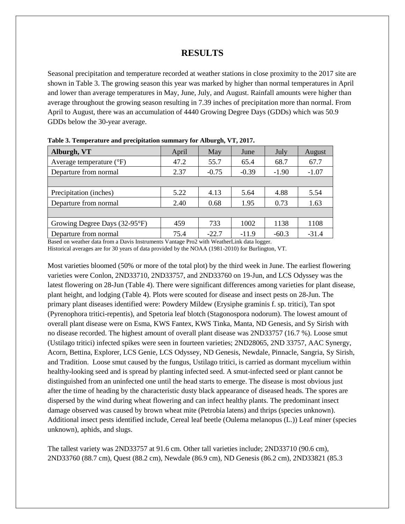## **RESULTS**

Seasonal precipitation and temperature recorded at weather stations in close proximity to the 2017 site are shown in Table 3. The growing season this year was marked by higher than normal temperatures in April and lower than average temperatures in May, June, July, and August. Rainfall amounts were higher than average throughout the growing season resulting in 7.39 inches of precipitation more than normal. From April to August, there was an accumulation of 4440 Growing Degree Days (GDDs) which was 50.9 GDDs below the 30-year average.

| Alburgh, VT                         | April | May     | June    | July    | August  |
|-------------------------------------|-------|---------|---------|---------|---------|
| Average temperature $({}^{\circ}F)$ | 47.2  | 55.7    | 65.4    | 68.7    | 67.7    |
| Departure from normal               | 2.37  | $-0.75$ | $-0.39$ | $-1.90$ | $-1.07$ |
|                                     |       |         |         |         |         |
| Precipitation (inches)              | 5.22  | 4.13    | 5.64    | 4.88    | 5.54    |
| Departure from normal               | 2.40  | 0.68    | 1.95    | 0.73    | 1.63    |
|                                     |       |         |         |         |         |
| Growing Degree Days (32-95°F)       | 459   | 733     | 1002    | 1138    | 1108    |
| Departure from normal               | 75.4  | $-22.7$ | $-11.9$ | $-60.3$ | $-31.4$ |

**Table 3. Temperature and precipitation summary for Alburgh, VT, 2017.**

Based on weather data from a Davis Instruments Vantage Pro2 with WeatherLink data logger.

Historical averages are for 30 years of data provided by the NOAA (1981-2010) for Burlington, VT.

Most varieties bloomed (50% or more of the total plot) by the third week in June. The earliest flowering varieties were Conlon, 2ND33710, 2ND33757, and 2ND33760 on 19-Jun, and LCS Odyssey was the latest flowering on 28-Jun (Table 4). There were significant differences among varieties for plant disease, plant height, and lodging (Table 4). Plots were scouted for disease and insect pests on 28-Jun. The primary plant diseases identified were: Powdery Mildew (Erysiphe graminis f. sp. tritici), Tan spot (Pyrenophora tritici-repentis), and Spetoria leaf blotch (Stagonospora nodorum). The lowest amount of overall plant disease were on Esma, KWS Fantex, KWS Tinka, Manta, ND Genesis, and Sy Sirish with no disease recorded. The highest amount of overall plant disease was 2ND33757 (16.7 %). Loose smut (Ustilago tritici) infected spikes were seen in fourteen varieties; 2ND28065, 2ND 33757, AAC Synergy, Acorn, Bettina, Explorer, LCS Genie, LCS Odyssey, ND Genesis, Newdale, Pinnacle, Sangria, Sy Sirish, and Tradition. Loose smut caused by the fungus, Ustilago tritici, is carried as dormant mycelium within healthy-looking seed and is spread by planting infected seed. A smut-infected seed or plant cannot be distinguished from an uninfected one until the head starts to emerge. The disease is most obvious just after the time of heading by the characteristic dusty black appearance of diseased heads. The spores are dispersed by the wind during wheat flowering and can infect healthy plants. The predominant insect damage observed was caused by brown wheat mite (Petrobia latens) and thrips (species unknown). Additional insect pests identified include, Cereal leaf beetle (Oulema melanopus (L.)) Leaf miner (species unknown), aphids, and slugs.

The tallest variety was 2ND33757 at 91.6 cm. Other tall varieties include; 2ND33710 (90.6 cm), 2ND33760 (88.7 cm), Quest (88.2 cm), Newdale (86.9 cm), ND Genesis (86.2 cm), 2ND33821 (85.3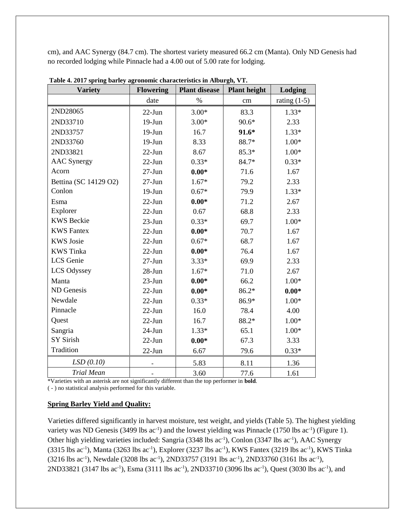cm), and AAC Synergy (84.7 cm). The shortest variety measured 66.2 cm (Manta). Only ND Genesis had no recorded lodging while Pinnacle had a 4.00 out of 5.00 rate for lodging.

| <b>Variety</b>        | <b>Flowering</b> | <b>Plant disease</b> | <b>Plant height</b> | Lodging        |  |
|-----------------------|------------------|----------------------|---------------------|----------------|--|
|                       | date             | $\%$                 | cm                  | rating $(1-5)$ |  |
| 2ND28065              | $22-Jun$         | $3.00*$              | 83.3                | $1.33*$        |  |
| 2ND33710              | $19-J$ un        | $3.00*$              | $90.6*$             | 2.33           |  |
| 2ND33757              | $19-Jun$         | 16.7                 | $91.6*$             | $1.33*$        |  |
| 2ND33760              | $19-Jun$         | 8.33                 | 88.7*               | $1.00*$        |  |
| 2ND33821              | $22-Jun$         | 8.67                 | $85.3*$             | $1.00*$        |  |
| <b>AAC</b> Synergy    | $22-Jun$         | $0.33*$              | 84.7*               | $0.33*$        |  |
| Acorn                 | $27 - Jun$       | $0.00*$              | 71.6                | 1.67           |  |
| Bettina (SC 14129 O2) | $27 - Jun$       | $1.67*$              | 79.2                | 2.33           |  |
| Conlon                | $19-Jun$         | $0.67*$              | 79.9                | $1.33*$        |  |
| Esma                  | $22-Jun$         | $0.00*$              | 71.2                | 2.67           |  |
| Explorer              | $22-Jun$         | 0.67                 | 68.8                | 2.33           |  |
| <b>KWS</b> Beckie     | $23$ -Jun        | $0.33*$              | 69.7                | $1.00*$        |  |
| <b>KWS</b> Fantex     | $22-Jun$         | $0.00*$              | 70.7                | 1.67           |  |
| <b>KWS</b> Josie      | $22-Jun$         | $0.67*$              | 68.7                | 1.67           |  |
| <b>KWS</b> Tinka      | $22-Jun$         | $0.00*$              | 76.4                | 1.67           |  |
| LCS Genie             | $27-Jun$         | $3.33*$              | 69.9                | 2.33           |  |
| LCS Odyssey           | $28-Jun$         | $1.67*$              | 71.0                | 2.67           |  |
| Manta                 | $23-J$ un        | $0.00*$              | 66.2                | $1.00*$        |  |
| ND Genesis            | $22-Jun$         | $0.00*$              | $86.2*$             | $0.00*$        |  |
| Newdale               | $22-Jun$         | $0.33*$              | 86.9*               | $1.00*$        |  |
| Pinnacle              | $22-Jun$         | 16.0                 | 78.4                | 4.00           |  |
| Quest                 | $22-Jun$         | 16.7                 | 88.2*               | $1.00*$        |  |
| Sangria               | $24-Jun$         | $1.33*$              | 65.1                | $1.00*$        |  |
| <b>SY Sirish</b>      | $22-Jun$         | $0.00*$              | 67.3                | 3.33           |  |
| Tradition             | $22-Jun$         | 6.67                 | 79.6                | $0.33*$        |  |
| LSD(0.10)             |                  | 5.83                 | 8.11                | 1.36           |  |
| <b>Trial Mean</b>     |                  | 3.60                 | 77.6                | 1.61           |  |

**Table 4. 2017 spring barley agronomic characteristics in Alburgh, VT.**

\*Varieties with an asterisk are not significantly different than the top performer in **bold**.

( - ) no statistical analysis performed for this variable.

#### **Spring Barley Yield and Quality:**

Varieties differed significantly in harvest moisture, test weight, and yields (Table 5). The highest yielding variety was ND Genesis (3499 lbs  $ac^{-1}$ ) and the lowest yielding was Pinnacle (1750 lbs  $ac^{-1}$ ) (Figure 1). Other high yielding varieties included: Sangria (3348 lbs ac<sup>-1</sup>), Conlon (3347 lbs ac<sup>-1</sup>), AAC Synergy  $(3315 \text{ lbs } ac^{-1})$ , Manta  $(3263 \text{ lbs } ac^{-1})$ , Explorer  $(3237 \text{ lbs } ac^{-1})$ , KWS Fantex  $(3219 \text{ lbs } ac^{-1})$ , KWS Tinka  $(3216 \text{ lbs } ac^{-1})$ , Newdale  $(3208 \text{ lbs } ac^{-1})$ , 2ND33757  $(3191 \text{ lbs } ac^{-1})$ , 2ND33760  $(3161 \text{ lbs } ac^{-1})$ , 2ND33821 (3147 lbs ac<sup>-1</sup>), Esma (3111 lbs ac<sup>-1</sup>), 2ND33710 (3096 lbs ac<sup>-1</sup>), Quest (3030 lbs ac<sup>-1</sup>), and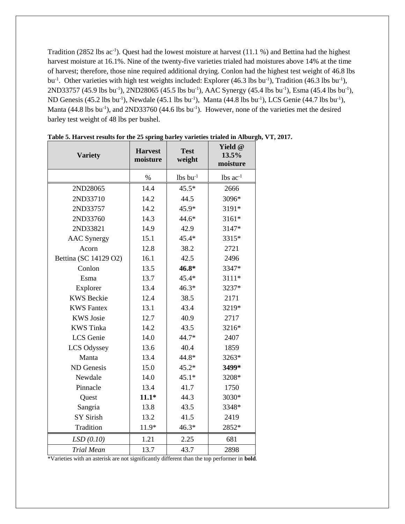Tradition (2852 lbs  $ac^{-1}$ ). Quest had the lowest moisture at harvest (11.1 %) and Bettina had the highest harvest moisture at 16.1%. Nine of the twenty-five varieties trialed had moistures above 14% at the time of harvest; therefore, those nine required additional drying. Conlon had the highest test weight of 46.8 lbs bu<sup>-1</sup>. Other varieties with high test weights included: Explorer (46.3 lbs bu<sup>-1</sup>), Tradition (46.3 lbs bu<sup>-1</sup>),  $2ND33757$  (45.9 lbs bu<sup>-1</sup>),  $2ND28065$  (45.5 lbs bu<sup>-1</sup>), AAC Synergy (45.4 lbs bu<sup>-1</sup>), Esma (45.4 lbs bu<sup>-1</sup>), ND Genesis (45.2 lbs bu<sup>-1</sup>), Newdale (45.1 lbs bu<sup>-1</sup>), Manta (44.8 lbs bu<sup>-1</sup>), LCS Genie (44.7 lbs bu<sup>-1</sup>), Manta (44.8 lbs bu<sup>-1</sup>), and 2ND33760 (44.6 lbs bu<sup>-1</sup>). However, none of the varieties met the desired barley test weight of 48 lbs per bushel.

| <b>Variety</b>        | <b>Harvest</b><br>moisture | <b>Test</b><br>weight  | Yield @<br>13.5%<br>moisture |
|-----------------------|----------------------------|------------------------|------------------------------|
|                       | $\%$                       | $lbs$ bu <sup>-1</sup> | $lbs$ ac <sup>-1</sup>       |
| 2ND28065              | 14.4                       | $45.5*$                | 2666                         |
| 2ND33710              | 14.2                       | 44.5                   | 3096*                        |
| 2ND33757              | 14.2                       | 45.9*                  | 3191*                        |
| 2ND33760              | 14.3                       | $44.6*$                | 3161*                        |
| 2ND33821              | 14.9                       | 42.9                   | 3147*                        |
| <b>AAC</b> Synergy    | 15.1                       | 45.4*                  | 3315*                        |
| Acorn                 | 12.8                       | 38.2                   | 2721                         |
| Bettina (SC 14129 O2) | 16.1                       | 42.5                   | 2496                         |
| Conlon                | 13.5                       | 46.8*                  | 3347*                        |
| Esma                  | 13.7                       | 45.4*                  | 3111*                        |
| Explorer              | 13.4                       | $46.3*$                | 3237*                        |
| <b>KWS Beckie</b>     | 12.4                       | 38.5                   | 2171                         |
| <b>KWS</b> Fantex     | 13.1                       | 43.4                   | 3219*                        |
| <b>KWS</b> Josie      | 12.7                       | 40.9                   | 2717                         |
| <b>KWS</b> Tinka      | 14.2                       | 43.5                   | 3216*                        |
| LCS Genie             | 14.0                       | 44.7*                  | 2407                         |
| LCS Odyssey           | 13.6                       | 40.4                   | 1859                         |
| Manta                 | 13.4                       | 44.8*                  | 3263*                        |
| ND Genesis            | 15.0                       | $45.2*$                | 3499*                        |
| Newdale               | 14.0                       | $45.1*$                | 3208*                        |
| Pinnacle              | 13.4                       | 41.7                   | 1750                         |
| Quest                 | $11.1*$                    | 44.3                   | 3030*                        |
| Sangria               | 13.8                       | 43.5                   | 3348*                        |
| <b>SY Sirish</b>      | 13.2                       | 41.5                   | 2419                         |
| Tradition             | 11.9*                      | $46.3*$                | 2852*                        |
| LSD(0.10)             | 1.21                       | 2.25                   | 681                          |
| <b>Trial Mean</b>     | 13.7                       | 43.7                   | 2898                         |

**Table 5. Harvest results for the 25 spring barley varieties trialed in Alburgh, VT, 2017.**

\*Varieties with an asterisk are not significantly different than the top performer in **bold**.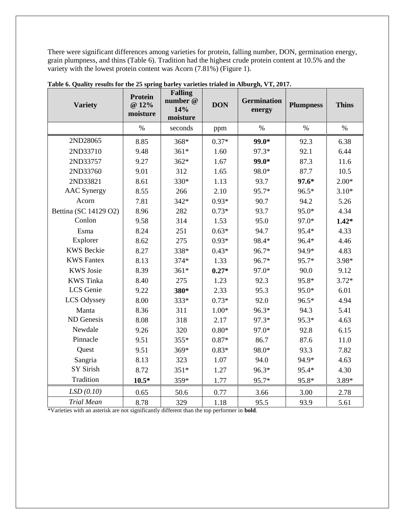There were significant differences among varieties for protein, falling number, DON, germination energy, grain plumpness, and thins (Table 6). Tradition had the highest crude protein content at 10.5% and the variety with the lowest protein content was Acorn (7.81%) (Figure 1).

 $\overline{\mathbf{u}}$ 

| <b>Variety</b>        | Protein<br>@ 12%<br>moisture | <b>Falling</b><br>number @<br>14%<br>moisture | <b>DON</b> | <b>Germination</b><br>energy | <b>Plumpness</b> | <b>Thins</b> |
|-----------------------|------------------------------|-----------------------------------------------|------------|------------------------------|------------------|--------------|
|                       | $\%$                         | seconds                                       | ppm        | $\%$                         | $\%$             | $\%$         |
| 2ND28065              | 8.85                         | 368*                                          | $0.37*$    | $99.0*$                      | 92.3             | 6.38         |
| 2ND33710              | 9.48                         | $361*$                                        | 1.60       | 97.3*                        | 92.1             | 6.44         |
| 2ND33757              | 9.27                         | $362*$                                        | 1.67       | 99.0*                        | 87.3             | 11.6         |
| 2ND33760              | 9.01                         | 312                                           | 1.65       | 98.0*                        | 87.7             | 10.5         |
| 2ND33821              | 8.61                         | 330*                                          | 1.13       | 93.7                         | $97.6*$          | $2.00*$      |
| <b>AAC</b> Synergy    | 8.55                         | 266                                           | 2.10       | 95.7*                        | 96.5*            | $3.10*$      |
| Acorn                 | 7.81                         | $342*$                                        | $0.93*$    | 90.7                         | 94.2             | 5.26         |
| Bettina (SC 14129 O2) | 8.96                         | 282                                           | $0.73*$    | 93.7                         | 95.0*            | 4.34         |
| Conlon                | 9.58                         | 314                                           | 1.53       | 95.0                         | 97.0*            | $1.42*$      |
| Esma                  | 8.24                         | 251                                           | $0.63*$    | 94.7                         | 95.4*            | 4.33         |
| Explorer              | 8.62                         | 275                                           | $0.93*$    | 98.4*                        | 96.4*            | 4.46         |
| <b>KWS</b> Beckie     | 8.27                         | 338*                                          | $0.43*$    | 96.7*                        | 94.9*            | 4.83         |
| <b>KWS</b> Fantex     | 8.13                         | 374*                                          | 1.33       | 96.7*                        | 95.7*            | 3.98*        |
| <b>KWS</b> Josie      | 8.39                         | $361*$                                        | $0.27*$    | 97.0*                        | 90.0             | 9.12         |
| <b>KWS</b> Tinka      | 8.40                         | 275                                           | 1.23       | 92.3                         | 95.8*            | $3.72*$      |
| LCS Genie             | 9.22                         | 380*                                          | 2.33       | 95.3                         | 95.0*            | 6.01         |
| LCS Odyssey           | 8.00                         | 333*                                          | $0.73*$    | 92.0                         | 96.5*            | 4.94         |
| Manta                 | 8.36                         | 311                                           | $1.00*$    | 96.3*                        | 94.3             | 5.41         |
| ND Genesis            | 8.08                         | 318                                           | 2.17       | 97.3*                        | 95.3*            | 4.63         |
| Newdale               | 9.26                         | 320                                           | $0.80*$    | 97.0*                        | 92.8             | 6.15         |
| Pinnacle              | 9.51                         | 355*                                          | $0.87*$    | 86.7                         | 87.6             | 11.0         |
| Quest                 | 9.51                         | 369*                                          | $0.83*$    | 98.0*                        | 93.3             | 7.82         |
| Sangria               | 8.13                         | 323                                           | 1.07       | 94.0                         | 94.9*            | 4.63         |
| <b>SY Sirish</b>      | 8.72                         | $351*$                                        | 1.27       | 96.3*                        | 95.4*            | 4.30         |
| Tradition             | $10.5*$                      | 359*                                          | 1.77       | 95.7*                        | 95.8*            | 3.89*        |
| LSD(0.10)             | 0.65                         | 50.6                                          | 0.77       | 3.66                         | 3.00             | 2.78         |
| <b>Trial Mean</b>     | 8.78                         | 329                                           | 1.18       | 95.5                         | 93.9             | 5.61         |

**Table 6. Quality results for the 25 spring barley varieties trialed in Alburgh, VT, 2017.**

\*Varieties with an asterisk are not significantly different than the top performer in **bold**.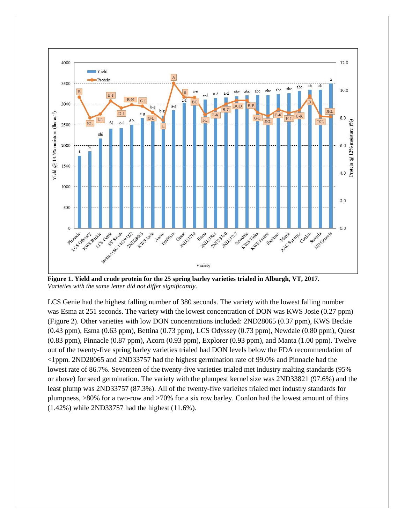

**Figure 1. Yield and crude protein for the 25 spring barley varieties trialed in Alburgh, VT, 2017.** *Varieties with the same letter did not differ significantly.*

LCS Genie had the highest falling number of 380 seconds. The variety with the lowest falling number was Esma at 251 seconds. The variety with the lowest concentration of DON was KWS Josie (0.27 ppm) (Figure 2). Other varieties with low DON concentrations included: 2ND28065 (0.37 ppm), KWS Beckie (0.43 ppm), Esma (0.63 ppm), Bettina (0.73 ppm), LCS Odyssey (0.73 ppm), Newdale (0.80 ppm), Quest (0.83 ppm), Pinnacle (0.87 ppm), Acorn (0.93 ppm), Explorer (0.93 ppm), and Manta (1.00 ppm). Twelve out of the twenty-five spring barley varieties trialed had DON levels below the FDA recommendation of <1ppm. 2ND28065 and 2ND33757 had the highest germination rate of 99.0% and Pinnacle had the lowest rate of 86.7%. Seventeen of the twenty-five varieties trialed met industry malting standards (95% or above) for seed germination. The variety with the plumpest kernel size was 2ND33821 (97.6%) and the least plump was 2ND33757 (87.3%). All of the twenty-five varieites trialed met industry standards for plumpness, >80% for a two-row and >70% for a six row barley. Conlon had the lowest amount of thins (1.42%) while 2ND33757 had the highest (11.6%).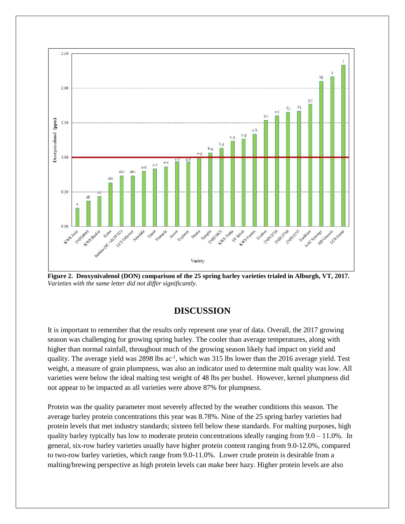

**Figure 2. Deoxynivalenol (DON) comparison of the 25 spring barley varieties trialed in Alburgh, VT, 2017.** *Varieties with the same letter did not differ significantly.*

### **DISCUSSION**

It is important to remember that the results only represent one year of data. Overall, the 2017 growing season was challenging for growing spring barley. The cooler than average temperatures, along with higher than normal rainfall, throughout much of the growing season likely had impact on yield and quality. The average yield was 2898 lbs ac<sup>-1</sup>, which was 315 lbs lower than the 2016 average yield. Test weight, a measure of grain plumpness, was also an indicator used to determine malt quality was low. All varieties were below the ideal malting test weight of 48 lbs per bushel. However, kernel plumpness did not appear to be impacted as all varieties were above 87% for plumpness.

Protein was the quality parameter most severely affected by the weather conditions this season. The average barley protein concentrations this year was 8.78%. Nine of the 25 spring barley varieties had protein levels that met industry standards; sixteen fell below these standards. For malting purposes, high quality barley typically has low to moderate protein concentrations ideally ranging from 9.0 – 11.0%. In general, six-row barley varieties usually have higher protein content ranging from 9.0-12.0%, compared to two-row barley varieties, which range from 9.0-11.0%. Lower crude protein is desirable from a malting/brewing perspective as high protein levels can make beer hazy. Higher protein levels are also